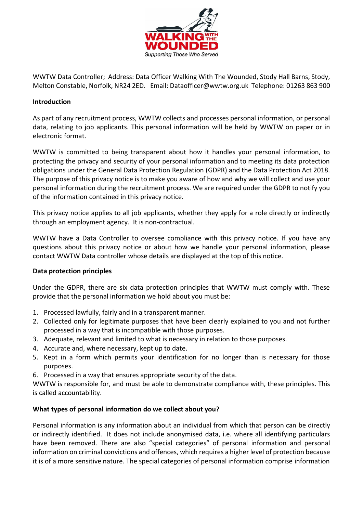

WWTW Data Controller; Address: Data Officer Walking With The Wounded, Stody Hall Barns, Stody, Melton Constable, Norfolk, NR24 2ED. Email: Dataofficer@wwtw.org.uk Telephone: 01263 863 900

# **Introduction**

As part of any recruitment process, WWTW collects and processes personal information, or personal data, relating to job applicants. This personal information will be held by WWTW on paper or in electronic format.

WWTW is committed to being transparent about how it handles your personal information, to protecting the privacy and security of your personal information and to meeting its data protection obligations under the General Data Protection Regulation (GDPR) and the Data Protection Act 2018. The purpose of this privacy notice is to make you aware of how and why we will collect and use your personal information during the recruitment process. We are required under the GDPR to notify you of the information contained in this privacy notice.

This privacy notice applies to all job applicants, whether they apply for a role directly or indirectly through an employment agency. It is non-contractual.

WWTW have a Data Controller to oversee compliance with this privacy notice. If you have any questions about this privacy notice or about how we handle your personal information, please contact WWTW Data controller whose details are displayed at the top of this notice.

# **Data protection principles**

Under the GDPR, there are six data protection principles that WWTW must comply with. These provide that the personal information we hold about you must be:

- 1. Processed lawfully, fairly and in a transparent manner.
- 2. Collected only for legitimate purposes that have been clearly explained to you and not further processed in a way that is incompatible with those purposes.
- 3. Adequate, relevant and limited to what is necessary in relation to those purposes.
- 4. Accurate and, where necessary, kept up to date.
- 5. Kept in a form which permits your identification for no longer than is necessary for those purposes.
- 6. Processed in a way that ensures appropriate security of the data.

WWTW is responsible for, and must be able to demonstrate compliance with, these principles. This is called accountability.

# **What types of personal information do we collect about you?**

Personal information is any information about an individual from which that person can be directly or indirectly identified. It does not include anonymised data, i.e. where all identifying particulars have been removed. There are also "special categories" of personal information and personal information on criminal convictions and offences, which requires a higher level of protection because it is of a more sensitive nature. The special categories of personal information comprise information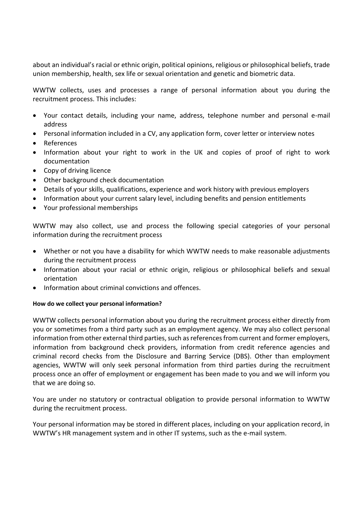about an individual's racial or ethnic origin, political opinions, religious or philosophical beliefs, trade union membership, health, sex life or sexual orientation and genetic and biometric data.

WWTW collects, uses and processes a range of personal information about you during the recruitment process. This includes:

- Your contact details, including your name, address, telephone number and personal e-mail address
- Personal information included in a CV, any application form, cover letter or interview notes
- References
- Information about your right to work in the UK and copies of proof of right to work documentation
- Copy of driving licence
- Other background check documentation
- Details of your skills, qualifications, experience and work history with previous employers
- Information about your current salary level, including benefits and pension entitlements
- Your professional memberships

WWTW may also collect, use and process the following special categories of your personal information during the recruitment process

- Whether or not you have a disability for which WWTW needs to make reasonable adjustments during the recruitment process
- Information about your racial or ethnic origin, religious or philosophical beliefs and sexual orientation
- Information about criminal convictions and offences.

#### **How do we collect your personal information?**

WWTW collects personal information about you during the recruitment process either directly from you or sometimes from a third party such as an employment agency. We may also collect personal information from other external third parties, such as references from current and former employers, information from background check providers, information from credit reference agencies and criminal record checks from the Disclosure and Barring Service (DBS). Other than employment agencies, WWTW will only seek personal information from third parties during the recruitment process once an offer of employment or engagement has been made to you and we will inform you that we are doing so.

You are under no statutory or contractual obligation to provide personal information to WWTW during the recruitment process.

Your personal information may be stored in different places, including on your application record, in WWTW's HR management system and in other IT systems, such as the e-mail system.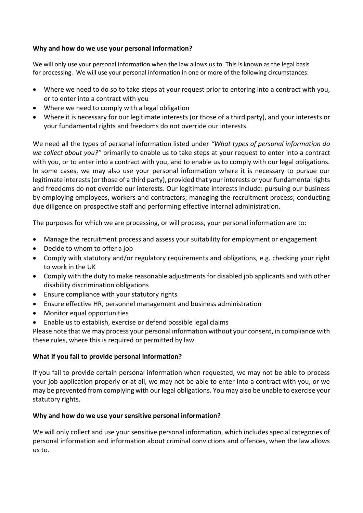# **Why and how do we use your personal information?**

We will only use your personal information when the law allows us to. This is known as the legal basis for processing. We will use your personal information in one or more of the following circumstances:

- Where we need to do so to take steps at your request prior to entering into a contract with you, or to enter into a contract with you
- Where we need to comply with a legal obligation
- Where it is necessary for our legitimate interests (or those of a third party), and your interests or your fundamental rights and freedoms do not override our interests.

We need all the types of personal information listed under *"What types of personal information do we collect about you?"* primarily to enable us to take steps at your request to enter into a contract with you, or to enter into a contract with you, and to enable us to comply with our legal obligations. In some cases, we may also use your personal information where it is necessary to pursue our legitimate interests (or those of a third party), provided that your interests or your fundamental rights and freedoms do not override our interests. Our legitimate interests include: pursuing our business by employing employees, workers and contractors; managing the recruitment process; conducting due diligence on prospective staff and performing effective internal administration.

The purposes for which we are processing, or will process, your personal information are to:

- Manage the recruitment process and assess your suitability for employment or engagement
- Decide to whom to offer a job
- Comply with statutory and/or regulatory requirements and obligations, e.g. checking your right to work in the UK
- Comply with the duty to make reasonable adjustments for disabled job applicants and with other disability discrimination obligations
- Ensure compliance with your statutory rights
- Ensure effective HR, personnel management and business administration
- Monitor equal opportunities
- Enable us to establish, exercise or defend possible legal claims

Please note that we may process your personal information without your consent, in compliance with these rules, where this is required or permitted by law.

#### **What if you fail to provide personal information?**

If you fail to provide certain personal information when requested, we may not be able to process your job application properly or at all, we may not be able to enter into a contract with you, or we may be prevented from complying with our legal obligations. You may also be unable to exercise your statutory rights.

#### **Why and how do we use your sensitive personal information?**

We will only collect and use your sensitive personal information, which includes special categories of personal information and information about criminal convictions and offences, when the law allows us to.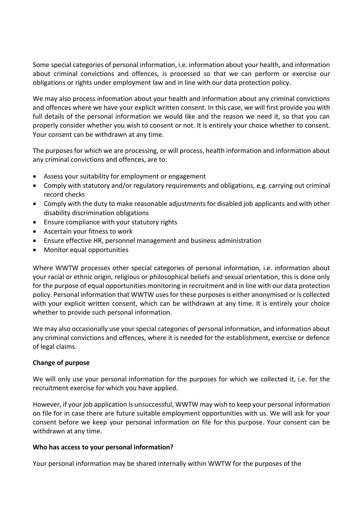Some special categories of personal information, i.e. information about your health, and information about criminal convictions and offences, is processed so that we can perform or exercise our obligations or rights under employment law and in line with our data protection policy.

We may also process information about your health and information about any criminal convictions and offences where we have your explicit written consent. In this case, we will first provide you with full details of the personal information we would like and the reason we need it, so that you can properly consider whether you wish to consent or not. It is entirely your choice whether to consent. Your consent can be withdrawn at any time.

The purposes for which we are processing, or will process, health information and information about any criminal convictions and offences, are to:

- Assess your suitability for employment or engagement
- Comply with statutory and/or regulatory requirements and obligations, e.g. carrying out criminal record checks
- Comply with the duty to make reasonable adjustments for disabled job applicants and with other disability discrimination obligations
- Ensure compliance with your statutory rights
- Ascertain your fitness to work
- Ensure effective HR, personnel management and business administration
- Monitor equal opportunities

Where WWTW processes other special categories of personal information, i.e. information about your racial or ethnic origin, religious or philosophical beliefs and sexual orientation, this is done only for the purpose of equal opportunities monitoring in recruitment and in line with our data protection policy. Personal information that WWTW uses for these purposes is either anonymised or is collected with your explicit written consent, which can be withdrawn at any time. It is entirely your choice whether to provide such personal information.

We may also occasionally use your special categories of personal information, and information about any criminal convictions and offences, where it is needed for the establishment, exercise or defence of legal claims.

# **Change of purpose**

We will only use your personal information for the purposes for which we collected it, i.e. for the recruitment exercise for which you have applied.

However, if your job application is unsuccessful, WWTW may wish to keep your personal information on file for in case there are future suitable employment opportunities with us. We will ask for your consent before we keep your personal information on file for this purpose. Your consent can be withdrawn at any time.

# **Who has access to your personal information?**

Your personal information may be shared internally within WWTW for the purposes of the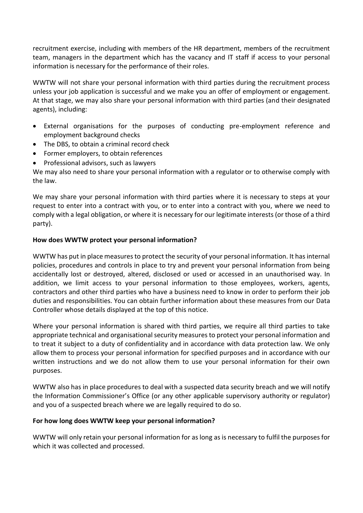recruitment exercise, including with members of the HR department, members of the recruitment team, managers in the department which has the vacancy and IT staff if access to your personal information is necessary for the performance of their roles.

WWTW will not share your personal information with third parties during the recruitment process unless your job application is successful and we make you an offer of employment or engagement. At that stage, we may also share your personal information with third parties (and their designated agents), including:

- External organisations for the purposes of conducting pre-employment reference and employment background checks
- The DBS, to obtain a criminal record check
- Former employers, to obtain references
- Professional advisors, such as lawyers

We may also need to share your personal information with a regulator or to otherwise comply with the law.

We may share your personal information with third parties where it is necessary to steps at your request to enter into a contract with you, or to enter into a contract with you, where we need to comply with a legal obligation, or where it is necessary for our legitimate interests (or those of a third party).

# **How does WWTW protect your personal information?**

WWTW has put in place measures to protect the security of your personal information. It has internal policies, procedures and controls in place to try and prevent your personal information from being accidentally lost or destroyed, altered, disclosed or used or accessed in an unauthorised way. In addition, we limit access to your personal information to those employees, workers, agents, contractors and other third parties who have a business need to know in order to perform their job duties and responsibilities. You can obtain further information about these measures from our Data Controller whose details displayed at the top of this notice.

Where your personal information is shared with third parties, we require all third parties to take appropriate technical and organisational security measures to protect your personal information and to treat it subject to a duty of confidentiality and in accordance with data protection law. We only allow them to process your personal information for specified purposes and in accordance with our written instructions and we do not allow them to use your personal information for their own purposes.

WWTW also has in place procedures to deal with a suspected data security breach and we will notify the Information Commissioner's Office (or any other applicable supervisory authority or regulator) and you of a suspected breach where we are legally required to do so.

# **For how long does WWTW keep your personal information?**

WWTW will only retain your personal information for as long as is necessary to fulfil the purposes for which it was collected and processed.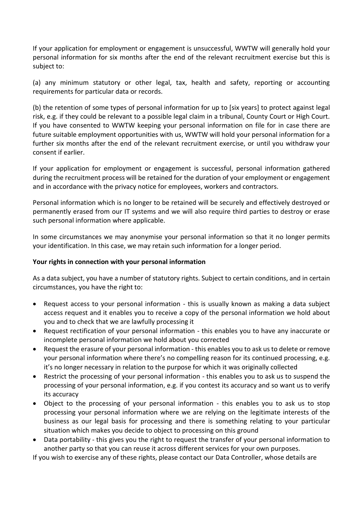If your application for employment or engagement is unsuccessful, WWTW will generally hold your personal information for six months after the end of the relevant recruitment exercise but this is subject to:

(a) any minimum statutory or other legal, tax, health and safety, reporting or accounting requirements for particular data or records.

(b) the retention of some types of personal information for up to [six years] to protect against legal risk, e.g. if they could be relevant to a possible legal claim in a tribunal, County Court or High Court. If you have consented to WWTW keeping your personal information on file for in case there are future suitable employment opportunities with us, WWTW will hold your personal information for a further six months after the end of the relevant recruitment exercise, or until you withdraw your consent if earlier.

If your application for employment or engagement is successful, personal information gathered during the recruitment process will be retained for the duration of your employment or engagement and in accordance with the privacy notice for employees, workers and contractors.

Personal information which is no longer to be retained will be securely and effectively destroyed or permanently erased from our IT systems and we will also require third parties to destroy or erase such personal information where applicable.

In some circumstances we may anonymise your personal information so that it no longer permits your identification. In this case, we may retain such information for a longer period.

# **Your rights in connection with your personal information**

As a data subject, you have a number of statutory rights. Subject to certain conditions, and in certain circumstances, you have the right to:

- Request access to your personal information this is usually known as making a data subject access request and it enables you to receive a copy of the personal information we hold about you and to check that we are lawfully processing it
- Request rectification of your personal information this enables you to have any inaccurate or incomplete personal information we hold about you corrected
- Request the erasure of your personal information this enables you to ask us to delete or remove your personal information where there's no compelling reason for its continued processing, e.g. it's no longer necessary in relation to the purpose for which it was originally collected
- Restrict the processing of your personal information this enables you to ask us to suspend the processing of your personal information, e.g. if you contest its accuracy and so want us to verify its accuracy
- Object to the processing of your personal information this enables you to ask us to stop processing your personal information where we are relying on the legitimate interests of the business as our legal basis for processing and there is something relating to your particular situation which makes you decide to object to processing on this ground
- Data portability this gives you the right to request the transfer of your personal information to another party so that you can reuse it across different services for your own purposes.

If you wish to exercise any of these rights, please contact our Data Controller, whose details are